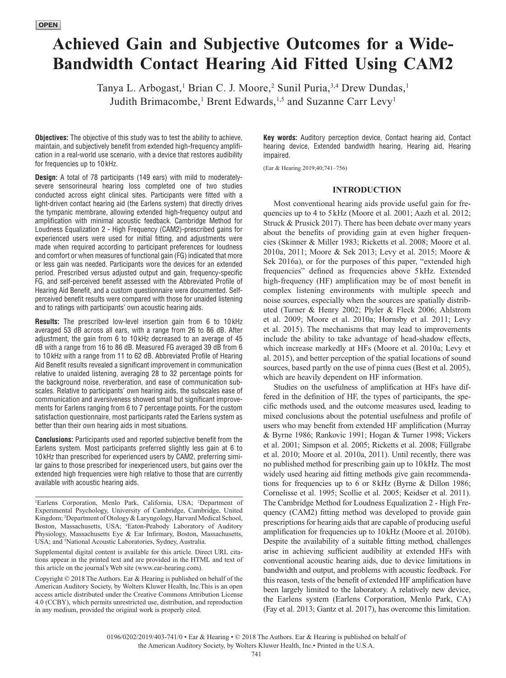# **Achieved Gain and Subjective Outcomes for a Wide-Bandwidth Contact Hearing Aid Fitted Using CAM2**

Tanya L. Arbogast,<sup>1</sup> Brian C. J. Moore,<sup>2</sup> Sunil Puria,<sup>3,4</sup> Drew Dundas,<sup>1</sup> Judith Brimacombe,<sup>1</sup> Brent Edwards,<sup>1,5</sup> and Suzanne Carr Levy<sup>1</sup>

**Objectives:** The objective of this study was to test the ability to achieve, maintain, and subjectively benefit from extended high-frequency amplification in a real-world use scenario, with a device that restores audibility for frequencies up to 10kHz.

**Design:** A total of 78 participants (149 ears) with mild to moderatelysevere sensorineural hearing loss completed one of two studies conducted across eight clinical sites. Participants were fitted with a light-driven contact hearing aid (the Earlens system) that directly drives the tympanic membrane, allowing extended high-frequency output and amplification with minimal acoustic feedback. Cambridge Method for Loudness Equalization 2 - High Frequency (CAM2)-prescribed gains for experienced users were used for initial fitting, and adjustments were made when required according to participant preferences for loudness and comfort or when measures of functional gain (FG) indicated that more or less gain was needed. Participants wore the devices for an extended period. Prescribed versus adjusted output and gain, frequency-specific FG, and self-perceived benefit assessed with the Abbreviated Profile of Hearing Aid Benefit, and a custom questionnaire were documented. Selfperceived benefit results were compared with those for unaided listening and to ratings with participants' own acoustic hearing aids.

**Results:** The prescribed low-level insertion gain from 6 to 10 kHz averaged 53 dB across all ears, with a range from 26 to 86 dB. After adjustment, the gain from 6 to 10kHz decreased to an average of 45 dB with a range from 16 to 86 dB. Measured FG averaged 39 dB from 6 to 10 kHz with a range from 11 to 62 dB. Abbreviated Profile of Hearing Aid Benefit results revealed a significant improvement in communication relative to unaided listening, averaging 28 to 32 percentage points for the background noise, reverberation, and ease of communication subscales. Relative to participants' own hearing aids, the subscales ease of communication and aversiveness showed small but significant improvements for Earlens ranging from 6 to 7 percentage points. For the custom satisfaction questionnaire, most participants rated the Earlens system as better than their own hearing aids in most situations.

**Conclusions:** Participants used and reported subjective benefit from the Earlens system. Most participants preferred slightly less gain at 6 to 10 kHz than prescribed for experienced users by CAM2, preferring similar gains to those prescribed for inexperienced users, but gains over the extended high frequencies were high relative to those that are currently available with acoustic hearing aids.

1 Earlens Corporation, Menlo Park, California, USA; 2 Department of Experimental Psychology, University of Cambridge, Cambridge, United Kingdom; 3 Department of Otology & Laryngology, Harvard Medical School, Boston, Massachusetts, USA; 4 Eaton-Peabody Laboratory of Auditory Physiology, Massachusetts Eye & Ear Infirmary, Boston, Massachusetts, USA; and <sup>5</sup>National Acoustic Laboratories, Sydney, Australia.

Supplemental digital content is available for this article. Direct URL citations appear in the printed text and are provided in the HTML and text of this article on the journal's Web site [\(www.ear-hearing.com\)](www.ear-hearing.com).

Copyright © 2018 The Authors. Ear & Hearing is published on behalf of the American Auditory Society, by Wolters Kluwer Health, Inc.This is an open access article distributed under the [Creative Commons Attribution License](http://creativecommons.org/licenses/by/4.0/)  [4.0 \(CCBY\),](http://creativecommons.org/licenses/by/4.0/) which permits unrestricted use, distribution, and reproduction in any medium, provided the original work is properly cited.

**Key words:** Auditory perception device, Contact hearing aid, Contact hearing device, Extended bandwidth hearing, Hearing aid, Hearing impaired.

(Ear & Hearing 2019;40;741–756)

# **INTRODUCTION**

Most conventional hearing aids provide useful gain for frequencies up to 4 to 5 kHz (Moore et al. 2001; Aazh et al. 2012; Struck & Prusick 2017). There has been debate over many years about the benefits of providing gain at even higher frequencies (Skinner & Miller 1983; Ricketts et al. 2008; Moore et al. 2010a, 2011; Moore & Sek 2013; Levy et al. 2015; Moore & Sek 2016a), or for the purposes of this paper, "extended high frequencies" defined as frequencies above 5kHz. Extended high-frequency (HF) amplification may be of most benefit in complex listening environments with multiple speech and noise sources, especially when the sources are spatially distributed (Turner & Henry 2002; Plyler & Fleck 2006; Ahlstrom et al. 2009; Moore et al. 2010a; Hornsby et al. 2011; Levy et al. 2015). The mechanisms that may lead to improvements include the ability to take advantage of head-shadow effects, which increase markedly at HFs (Moore et al. 2010a; Levy et al. 2015), and better perception of the spatial locations of sound sources, based partly on the use of pinna cues (Best et al. 2005), which are heavily dependent on HF information.

Studies on the usefulness of amplification at HFs have differed in the definition of HF, the types of participants, the specific methods used, and the outcome measures used, leading to mixed conclusions about the potential usefulness and profile of users who may benefit from extended HF amplification (Murray & Byrne 1986; Rankovic 1991; Hogan & Turner 1998; Vickers et al. 2001; Simpson et al. 2005; Ricketts et al. 2008; Füllgrabe et al. 2010; Moore et al. 2010a, 2011). Until recently, there was no published method for prescribing gain up to 10kHz. The most widely used hearing aid fitting methods give gain recommendations for frequencies up to 6 or 8kHz (Byrne & Dillon 1986; Cornelisse et al. 1995; Scollie et al. 2005; Keidser et al. 2011). The Cambridge Method for Loudness Equalization 2 - High Frequency (CAM2) fitting method was developed to provide gain prescriptions for hearing aids that are capable of producing useful amplification for frequencies up to 10kHz (Moore et al. 2010b). Despite the availability of a suitable fitting method, challenges arise in achieving sufficient audibility at extended HFs with conventional acoustic hearing aids, due to device limitations in bandwidth and output, and problems with acoustic feedback. For this reason, tests of the benefit of extended HF amplification have been largely limited to the laboratory. A relatively new device, the Earlens system (Earlens Corporation, Menlo Park, CA) (Fay et al. 2013; Gantz et al. 2017), has overcome this limitation.

the American Auditory Society, by Wolters Kluwer Health, Inc.• Printed in the U.S.A.

<sup>0196/0202/2019/403-741/0 •</sup> Ear & Hearing • © 2018 The Authors. Ear & Hearing is published on behalf of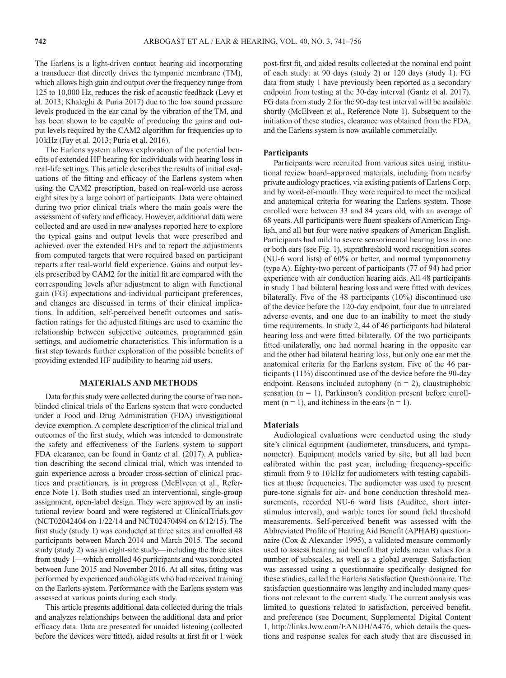The Earlens is a light-driven contact hearing aid incorporating a transducer that directly drives the tympanic membrane (TM), which allows high gain and output over the frequency range from 125 to 10,000 Hz, reduces the risk of acoustic feedback (Levy et al. 2013; Khaleghi & Puria 2017) due to the low sound pressure levels produced in the ear canal by the vibration of the TM, and has been shown to be capable of producing the gains and output levels required by the CAM2 algorithm for frequencies up to 10kHz (Fay et al. 2013; Puria et al. 2016).

The Earlens system allows exploration of the potential benefits of extended HF hearing for individuals with hearing loss in real-life settings. This article describes the results of initial evaluations of the fitting and efficacy of the Earlens system when using the CAM2 prescription, based on real-world use across eight sites by a large cohort of participants. Data were obtained during two prior clinical trials where the main goals were the assessment of safety and efficacy. However, additional data were collected and are used in new analyses reported here to explore the typical gains and output levels that were prescribed and achieved over the extended HFs and to report the adjustments from computed targets that were required based on participant reports after real-world field experience. Gains and output levels prescribed by CAM2 for the initial fit are compared with the corresponding levels after adjustment to align with functional gain (FG) expectations and individual participant preferences, and changes are discussed in terms of their clinical implications. In addition, self-perceived benefit outcomes and satisfaction ratings for the adjusted fittings are used to examine the relationship between subjective outcomes, programmed gain settings, and audiometric characteristics. This information is a first step towards further exploration of the possible benefits of providing extended HF audibility to hearing aid users.

# **MATERIALS AND METHODS**

Data for this study were collected during the course of two nonblinded clinical trials of the Earlens system that were conducted under a Food and Drug Administration (FDA) investigational device exemption. A complete description of the clinical trial and outcomes of the first study, which was intended to demonstrate the safety and effectiveness of the Earlens system to support FDA clearance, can be found in Gantz et al. (2017). A publication describing the second clinical trial, which was intended to gain experience across a broader cross-section of clinical practices and practitioners, is in progress (McElveen et al., Reference Note 1). Both studies used an interventional, single-group assignment, open-label design. They were approved by an institutional review board and were registered at ClinicalTrials.gov (NCT02042404 on 1/22/14 and NCT02470494 on 6/12/15). The first study (study 1) was conducted at three sites and enrolled 48 participants between March 2014 and March 2015. The second study (study 2) was an eight-site study—including the three sites from study 1—which enrolled 46 participants and was conducted between June 2015 and November 2016. At all sites, fitting was performed by experienced audiologists who had received training on the Earlens system. Performance with the Earlens system was assessed at various points during each study.

This article presents additional data collected during the trials and analyzes relationships between the additional data and prior efficacy data. Data are presented for unaided listening (collected before the devices were fitted), aided results at first fit or 1 week post-first fit, and aided results collected at the nominal end point of each study: at 90 days (study 2) or 120 days (study 1). FG data from study 1 have previously been reported as a secondary endpoint from testing at the 30-day interval (Gantz et al. 2017). FG data from study 2 for the 90-day test interval will be available shortly (McElveen et al., Reference Note 1). Subsequent to the initiation of these studies, clearance was obtained from the FDA, and the Earlens system is now available commercially.

#### **Participants**

Participants were recruited from various sites using institutional review board–approved materials, including from nearby private audiology practices, via existing patients of Earlens Corp, and by word-of-mouth. They were required to meet the medical and anatomical criteria for wearing the Earlens system. Those enrolled were between 33 and 84 years old, with an average of 68 years. All participants were fluent speakers of American English, and all but four were native speakers of American English. Participants had mild to severe sensorineural hearing loss in one or both ears (see Fig. 1), suprathreshold word recognition scores (NU-6 word lists) of 60% or better, and normal tympanometry (type A). Eighty-two percent of participants (77 of 94) had prior experience with air conduction hearing aids. All 48 participants in study 1 had bilateral hearing loss and were fitted with devices bilaterally. Five of the 48 participants (10%) discontinued use of the device before the 120-day endpoint, four due to unrelated adverse events, and one due to an inability to meet the study time requirements. In study 2, 44 of 46 participants had bilateral hearing loss and were fitted bilaterally. Of the two participants fitted unilaterally, one had normal hearing in the opposite ear and the other had bilateral hearing loss, but only one ear met the anatomical criteria for the Earlens system. Five of the 46 participants (11%) discontinued use of the device before the 90-day endpoint. Reasons included autophony  $(n = 2)$ , claustrophobic sensation  $(n = 1)$ , Parkinson's condition present before enrollment ( $n = 1$ ), and itchiness in the ears ( $n = 1$ ).

# **Materials**

Audiological evaluations were conducted using the study site's clinical equipment (audiometer, transducers, and tympanometer). Equipment models varied by site, but all had been calibrated within the past year, including frequency-specific stimuli from 9 to 10kHz for audiometers with testing capabilities at those frequencies. The audiometer was used to present pure-tone signals for air- and bone conduction threshold measurements, recorded NU-6 word lists (Auditec, short interstimulus interval), and warble tones for sound field threshold measurements. Self-perceived benefit was assessed with the Abbreviated Profile of Hearing Aid Benefit (APHAB) questionnaire (Cox & Alexander 1995), a validated measure commonly used to assess hearing aid benefit that yields mean values for a number of subscales, as well as a global average. Satisfaction was assessed using a questionnaire specifically designed for these studies, called the Earlens Satisfaction Questionnaire. The satisfaction questionnaire was lengthy and included many questions not relevant to the current study. The current analysis was limited to questions related to satisfaction, perceived benefit, and preference (see Document, Supplemental Digital Content 1,<http://links.lww.com/EANDH/A476>, which details the questions and response scales for each study that are discussed in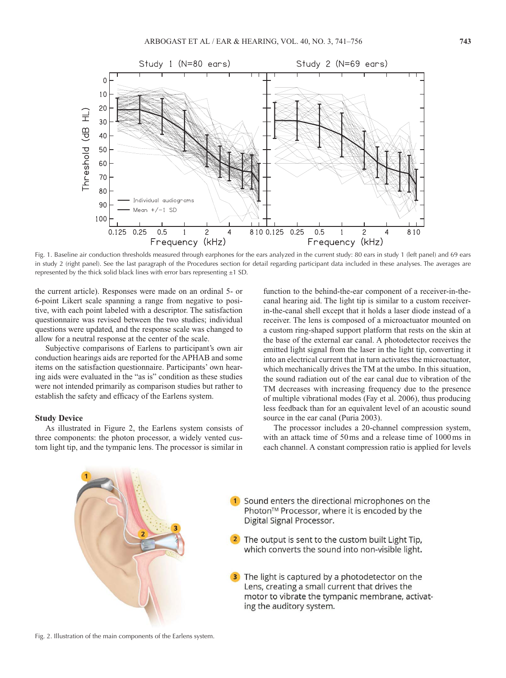

Fig. 1. Baseline air conduction thresholds measured through earphones for the ears analyzed in the current study: 80 ears in study 1 (left panel) and 69 ears in study 2 (right panel). See the last paragraph of the Procedures section for detail regarding participant data included in these analyses. The averages are represented by the thick solid black lines with error bars representing ±1 SD.

the current article). Responses were made on an ordinal 5- or 6-point Likert scale spanning a range from negative to positive, with each point labeled with a descriptor. The satisfaction questionnaire was revised between the two studies; individual questions were updated, and the response scale was changed to allow for a neutral response at the center of the scale.

Subjective comparisons of Earlens to participant's own air conduction hearings aids are reported for the APHAB and some items on the satisfaction questionnaire. Participants' own hearing aids were evaluated in the "as is" condition as these studies were not intended primarily as comparison studies but rather to establish the safety and efficacy of the Earlens system.

## **Study Device**

As illustrated in Figure 2, the Earlens system consists of three components: the photon processor, a widely vented custom light tip, and the tympanic lens. The processor is similar in function to the behind-the-ear component of a receiver-in-thecanal hearing aid. The light tip is similar to a custom receiverin-the-canal shell except that it holds a laser diode instead of a receiver. The lens is composed of a microactuator mounted on a custom ring-shaped support platform that rests on the skin at the base of the external ear canal. A photodetector receives the emitted light signal from the laser in the light tip, converting it into an electrical current that in turn activates the microactuator, which mechanically drives the TM at the umbo. In this situation, the sound radiation out of the ear canal due to vibration of the TM decreases with increasing frequency due to the presence of multiple vibrational modes (Fay et al. 2006), thus producing less feedback than for an equivalent level of an acoustic sound source in the ear canal (Puria 2003).

The processor includes a 20-channel compression system, with an attack time of 50ms and a release time of 1000ms in each channel. A constant compression ratio is applied for levels

1 Sound enters the directional microphones on the Photon™ Processor, where it is encoded by the Digital Signal Processor. <sup>2</sup> The output is sent to the custom built Light Tip, which converts the sound into non-visible light. The light is captured by a photodetector on the Lens, creating a small current that drives the motor to vibrate the tympanic membrane, activating the auditory system.

Fig. 2. Illustration of the main components of the Earlens system.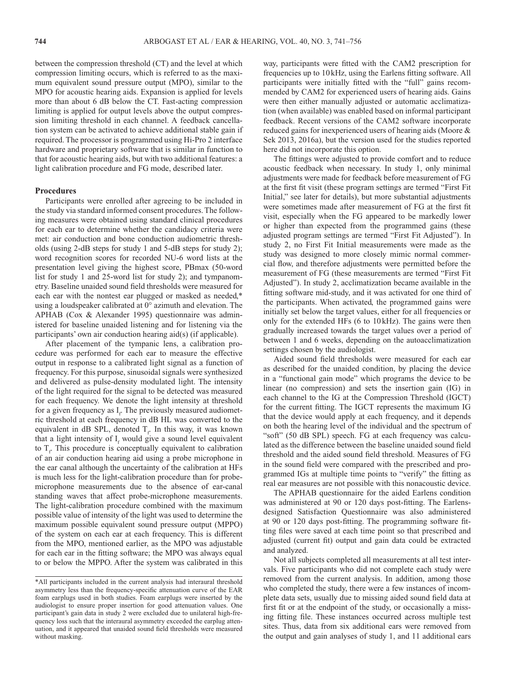between the compression threshold (CT) and the level at which compression limiting occurs, which is referred to as the maximum equivalent sound pressure output (MPO), similar to the MPO for acoustic hearing aids. Expansion is applied for levels more than about 6 dB below the CT. Fast-acting compression limiting is applied for output levels above the output compression limiting threshold in each channel. A feedback cancellation system can be activated to achieve additional stable gain if required. The processor is programmed using Hi-Pro 2 interface hardware and proprietary software that is similar in function to that for acoustic hearing aids, but with two additional features: a light calibration procedure and FG mode, described later.

# **Procedures**

Participants were enrolled after agreeing to be included in the study via standard informed consent procedures. The following measures were obtained using standard clinical procedures for each ear to determine whether the candidacy criteria were met: air conduction and bone conduction audiometric thresholds (using 2-dB steps for study 1 and 5-dB steps for study 2); word recognition scores for recorded NU-6 word lists at the presentation level giving the highest score, PBmax (50-word list for study 1 and 25-word list for study 2); and tympanometry. Baseline unaided sound field thresholds were measured for each ear with the nontest ear plugged or masked as needed,\* using a loudspeaker calibrated at 0° azimuth and elevation. The APHAB (Cox & Alexander 1995) questionnaire was administered for baseline unaided listening and for listening via the participants' own air conduction hearing aid(s) (if applicable).

After placement of the tympanic lens, a calibration procedure was performed for each ear to measure the effective output in response to a calibrated light signal as a function of frequency. For this purpose, sinusoidal signals were synthesized and delivered as pulse-density modulated light. The intensity of the light required for the signal to be detected was measured for each frequency. We denote the light intensity at threshold for a given frequency as  $I_f$ . The previously measured audiometric threshold at each frequency in dB HL was converted to the equivalent in dB SPL, denoted  $T_f$ . In this way, it was known that a light intensity of  $I_f$  would give a sound level equivalent to  $T_f$ . This procedure is conceptually equivalent to calibration of an air conduction hearing aid using a probe microphone in the ear canal although the uncertainty of the calibration at HFs is much less for the light-calibration procedure than for probemicrophone measurements due to the absence of ear-canal standing waves that affect probe-microphone measurements. The light-calibration procedure combined with the maximum possible value of intensity of the light was used to determine the maximum possible equivalent sound pressure output (MPPO) of the system on each ear at each frequency. This is different from the MPO, mentioned earlier, as the MPO was adjustable for each ear in the fitting software; the MPO was always equal to or below the MPPO. After the system was calibrated in this

way, participants were fitted with the CAM2 prescription for frequencies up to 10kHz, using the Earlens fitting software. All participants were initially fitted with the "full" gains recommended by CAM2 for experienced users of hearing aids. Gains were then either manually adjusted or automatic acclimatization (when available) was enabled based on informal participant feedback. Recent versions of the CAM2 software incorporate reduced gains for inexperienced users of hearing aids (Moore & Sek 2013, 2016a), but the version used for the studies reported here did not incorporate this option.

The fittings were adjusted to provide comfort and to reduce acoustic feedback when necessary. In study 1, only minimal adjustments were made for feedback before measurement of FG at the first fit visit (these program settings are termed "First Fit Initial," see later for details), but more substantial adjustments were sometimes made after measurement of FG at the first fit visit, especially when the FG appeared to be markedly lower or higher than expected from the programmed gains (these adjusted program settings are termed "First Fit Adjusted"). In study 2, no First Fit Initial measurements were made as the study was designed to more closely mimic normal commercial flow, and therefore adjustments were permitted before the measurement of FG (these measurements are termed "First Fit Adjusted"). In study 2, acclimatization became available in the fitting software mid-study, and it was activated for one third of the participants. When activated, the programmed gains were initially set below the target values, either for all frequencies or only for the extended HFs (6 to 10 kHz). The gains were then gradually increased towards the target values over a period of between 1 and 6 weeks, depending on the autoacclimatization settings chosen by the audiologist.

Aided sound field thresholds were measured for each ear as described for the unaided condition, by placing the device in a "functional gain mode" which programs the device to be linear (no compression) and sets the insertion gain (IG) in each channel to the IG at the Compression Threshold (IGCT) for the current fitting. The IGCT represents the maximum IG that the device would apply at each frequency, and it depends on both the hearing level of the individual and the spectrum of "soft" (50 dB SPL) speech. FG at each frequency was calculated as the difference between the baseline unaided sound field threshold and the aided sound field threshold. Measures of FG in the sound field were compared with the prescribed and programmed IGs at multiple time points to "verify" the fitting as real ear measures are not possible with this nonacoustic device.

The APHAB questionnaire for the aided Earlens condition was administered at 90 or 120 days post-fitting. The Earlensdesigned Satisfaction Questionnaire was also administered at 90 or 120 days post-fitting. The programming software fitting files were saved at each time point so that prescribed and adjusted (current fit) output and gain data could be extracted and analyzed.

Not all subjects completed all measurements at all test intervals. Five participants who did not complete each study were removed from the current analysis. In addition, among those who completed the study, there were a few instances of incomplete data sets, usually due to missing aided sound field data at first fit or at the endpoint of the study, or occasionally a missing fitting file. These instances occurred across multiple test sites. Thus, data from six additional ears were removed from the output and gain analyses of study 1, and 11 additional ears

<sup>\*</sup>All participants included in the current analysis had interaural threshold asymmetry less than the frequency-specific attenuation curve of the EAR foam earplugs used in both studies. Foam earplugs were inserted by the audiologist to ensure proper insertion for good attenuation values. One participant's gain data in study 2 were excluded due to unilateral high-frequency loss such that the interaural asymmetry exceeded the earplug attenuation, and it appeared that unaided sound field thresholds were measured without masking.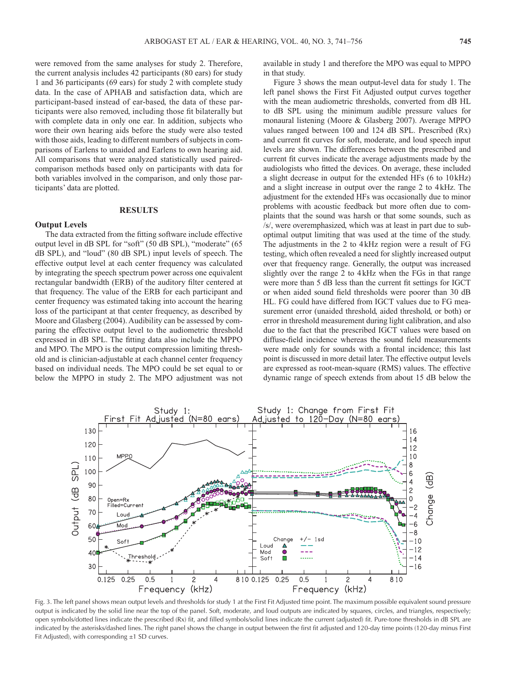were removed from the same analyses for study 2. Therefore, the current analysis includes 42 participants (80 ears) for study 1 and 36 participants (69 ears) for study 2 with complete study data. In the case of APHAB and satisfaction data, which are participant-based instead of ear-based, the data of these participants were also removed, including those fit bilaterally but with complete data in only one ear. In addition, subjects who wore their own hearing aids before the study were also tested with those aids, leading to different numbers of subjects in comparisons of Earlens to unaided and Earlens to own hearing aid. All comparisons that were analyzed statistically used pairedcomparison methods based only on participants with data for both variables involved in the comparison, and only those participants' data are plotted.

## **RESULTS**

#### **Output Levels**

The data extracted from the fitting software include effective output level in dB SPL for "soft" (50 dB SPL), "moderate" (65 dB SPL), and "loud" (80 dB SPL) input levels of speech. The effective output level at each center frequency was calculated by integrating the speech spectrum power across one equivalent rectangular bandwidth (ERB) of the auditory filter centered at that frequency. The value of the ERB for each participant and center frequency was estimated taking into account the hearing loss of the participant at that center frequency, as described by Moore and Glasberg (2004). Audibility can be assessed by comparing the effective output level to the audiometric threshold expressed in dB SPL. The fitting data also include the MPPO and MPO. The MPO is the output compression limiting threshold and is clinician-adjustable at each channel center frequency based on individual needs. The MPO could be set equal to or below the MPPO in study 2. The MPO adjustment was not available in study 1 and therefore the MPO was equal to MPPO in that study.

Figure 3 shows the mean output-level data for study 1. The left panel shows the First Fit Adjusted output curves together with the mean audiometric thresholds, converted from dB HL to dB SPL using the minimum audible pressure values for monaural listening (Moore & Glasberg 2007). Average MPPO values ranged between 100 and 124 dB SPL. Prescribed (Rx) and current fit curves for soft, moderate, and loud speech input levels are shown. The differences between the prescribed and current fit curves indicate the average adjustments made by the audiologists who fitted the devices. On average, these included a slight decrease in output for the extended HFs (6 to 10kHz) and a slight increase in output over the range 2 to 4kHz. The adjustment for the extended HFs was occasionally due to minor problems with acoustic feedback but more often due to complaints that the sound was harsh or that some sounds, such as /s/, were overemphasized, which was at least in part due to suboptimal output limiting that was used at the time of the study. The adjustments in the 2 to 4kHz region were a result of FG testing, which often revealed a need for slightly increased output over that frequency range. Generally, the output was increased slightly over the range 2 to 4kHz when the FGs in that range were more than 5 dB less than the current fit settings for IGCT or when aided sound field thresholds were poorer than 30 dB HL. FG could have differed from IGCT values due to FG measurement error (unaided threshold, aided threshold, or both) or error in threshold measurement during light calibration, and also due to the fact that the prescribed IGCT values were based on diffuse-field incidence whereas the sound field measurements were made only for sounds with a frontal incidence; this last point is discussed in more detail later. The effective output levels are expressed as root-mean-square (RMS) values. The effective dynamic range of speech extends from about 15 dB below the



Fig. 3. The left panel shows mean output levels and thresholds for study 1 at the First Fit Adjusted time point. The maximum possible equivalent sound pressure output is indicated by the solid line near the top of the panel. Soft, moderate, and loud outputs are indicated by squares, circles, and triangles, respectively; open symbols/dotted lines indicate the prescribed (Rx) fit, and filled symbols/solid lines indicate the current (adjusted) fit. Pure-tone thresholds in dB SPL are indicated by the asterisks/dashed lines. The right panel shows the change in output between the first fit adjusted and 120-day time points (120-day minus First Fit Adjusted), with corresponding  $\pm 1$  SD curves.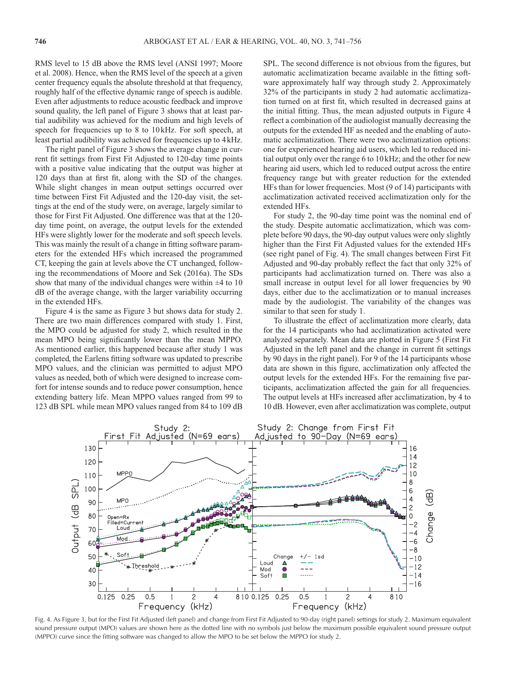RMS level to 15 dB above the RMS level (ANSI 1997; Moore et al. 2008). Hence, when the RMS level of the speech at a given center frequency equals the absolute threshold at that frequency, roughly half of the effective dynamic range of speech is audible. Even after adjustments to reduce acoustic feedback and improve sound quality, the left panel of Figure 3 shows that at least partial audibility was achieved for the medium and high levels of speech for frequencies up to 8 to 10 kHz. For soft speech, at least partial audibility was achieved for frequencies up to 4kHz.

The right panel of Figure 3 shows the average change in current fit settings from First Fit Adjusted to 120-day time points with a positive value indicating that the output was higher at 120 days than at first fit, along with the SD of the changes. While slight changes in mean output settings occurred over time between First Fit Adjusted and the 120-day visit, the settings at the end of the study were, on average, largely similar to those for First Fit Adjusted. One difference was that at the 120 day time point, on average, the output levels for the extended HFs were slightly lower for the moderate and soft speech levels. This was mainly the result of a change in fitting software parameters for the extended HFs which increased the programmed CT, keeping the gain at levels above the CT unchanged, following the recommendations of Moore and Sek (2016a). The SDs show that many of the individual changes were within  $\pm 4$  to 10 dB of the average change, with the larger variability occurring in the extended HFs.

Figure 4 is the same as Figure 3 but shows data for study 2. There are two main differences compared with study 1. First, the MPO could be adjusted for study 2, which resulted in the mean MPO being significantly lower than the mean MPPO. As mentioned earlier, this happened because after study 1 was completed, the Earlens fitting software was updated to prescribe MPO values, and the clinician was permitted to adjust MPO values as needed, both of which were designed to increase comfort for intense sounds and to reduce power consumption, hence extending battery life. Mean MPPO values ranged from 99 to 123 dB SPL while mean MPO values ranged from 84 to 109 dB SPL. The second difference is not obvious from the figures, but automatic acclimatization became available in the fitting software approximately half way through study 2. Approximately 32% of the participants in study 2 had automatic acclimatization turned on at first fit, which resulted in decreased gains at the initial fitting. Thus, the mean adjusted outputs in Figure 4 reflect a combination of the audiologist manually decreasing the outputs for the extended HF as needed and the enabling of automatic acclimatization. There were two acclimatization options: one for experienced hearing aid users, which led to reduced initial output only over the range 6 to 10 kHz; and the other for new hearing aid users, which led to reduced output across the entire frequency range but with greater reduction for the extended HFs than for lower frequencies. Most (9 of 14) participants with acclimatization activated received acclimatization only for the extended HFs.

For study 2, the 90-day time point was the nominal end of the study. Despite automatic acclimatization, which was complete before 90 days, the 90-day output values were only slightly higher than the First Fit Adjusted values for the extended HFs (see right panel of Fig. 4). The small changes between First Fit Adjusted and 90-day probably reflect the fact that only 32% of participants had acclimatization turned on. There was also a small increase in output level for all lower frequencies by 90 days, either due to the acclimatization or to manual increases made by the audiologist. The variability of the changes was similar to that seen for study 1.

To illustrate the effect of acclimatization more clearly, data for the 14 participants who had acclimatization activated were analyzed separately. Mean data are plotted in Figure 5 (First Fit Adjusted in the left panel and the change in current fit settings by 90 days in the right panel). For 9 of the 14 participants whose data are shown in this figure, acclimatization only affected the output levels for the extended HFs. For the remaining five participants, acclimatization affected the gain for all frequencies. The output levels at HFs increased after acclimatization, by 4 to 10 dB. However, even after acclimatization was complete, output



Fig. 4. As Figure 3, but for the First Fit Adjusted (left panel) and change from First Fit Adjusted to 90-day (right panel) settings for study 2. Maximum equivalent sound pressure output (MPO) values are shown here as the dotted line with no symbols just below the maximum possible equivalent sound pressure output (MPPO) curve since the fitting software was changed to allow the MPO to be set below the MPPO for study 2.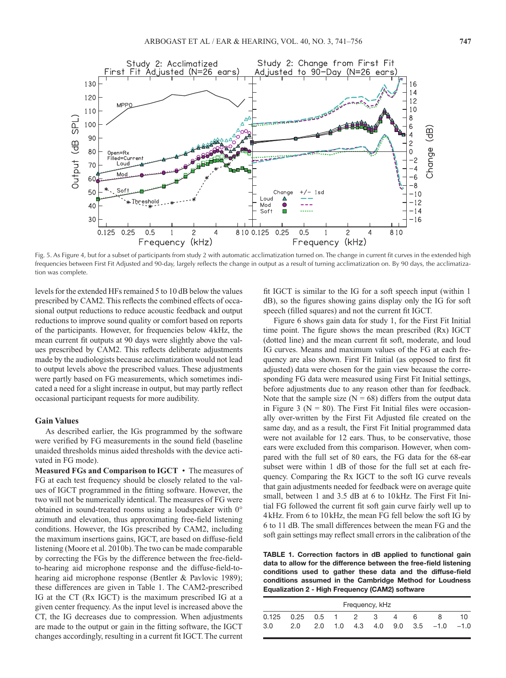

Fig. 5. As Figure 4, but for a subset of participants from study 2 with automatic acclimatization turned on. The change in current fit curves in the extended high frequencies between First Fit Adjusted and 90-day, largely reflects the change in output as a result of turning acclimatization on. By 90 days, the acclimatization was complete.

levels for the extended HFs remained 5 to 10 dB below the values prescribed by CAM2. This reflects the combined effects of occasional output reductions to reduce acoustic feedback and output reductions to improve sound quality or comfort based on reports of the participants. However, for frequencies below 4kHz, the mean current fit outputs at 90 days were slightly above the values prescribed by CAM2. This reflects deliberate adjustments made by the audiologists because acclimatization would not lead to output levels above the prescribed values. These adjustments were partly based on FG measurements, which sometimes indicated a need for a slight increase in output, but may partly reflect occasional participant requests for more audibility.

# **Gain Values**

As described earlier, the IGs programmed by the software were verified by FG measurements in the sound field (baseline unaided thresholds minus aided thresholds with the device activated in FG mode).

**Measured FGs and Comparison to IGCT** • The measures of FG at each test frequency should be closely related to the values of IGCT programmed in the fitting software. However, the two will not be numerically identical. The measures of FG were obtained in sound-treated rooms using a loudspeaker with 0° azimuth and elevation, thus approximating free-field listening conditions. However, the IGs prescribed by CAM2, including the maximum insertions gains, IGCT, are based on diffuse-field listening (Moore et al. 2010b). The two can be made comparable by correcting the FGs by the difference between the free-fieldto-hearing aid microphone response and the diffuse-field-tohearing aid microphone response (Bentler & Pavlovic 1989); these differences are given in Table 1. The CAM2-prescribed IG at the CT (Rx IGCT) is the maximum prescribed IG at a given center frequency. As the input level is increased above the CT, the IG decreases due to compression. When adjustments are made to the output or gain in the fitting software, the IGCT changes accordingly, resulting in a current fit IGCT. The current

fit IGCT is similar to the IG for a soft speech input (within 1 dB), so the figures showing gains display only the IG for soft speech (filled squares) and not the current fit IGCT.

Figure 6 shows gain data for study 1, for the First Fit Initial time point. The figure shows the mean prescribed (Rx) IGCT (dotted line) and the mean current fit soft, moderate, and loud IG curves. Means and maximum values of the FG at each frequency are also shown. First Fit Initial (as opposed to first fit adjusted) data were chosen for the gain view because the corresponding FG data were measured using First Fit Initial settings, before adjustments due to any reason other than for feedback. Note that the sample size  $(N = 68)$  differs from the output data in Figure 3 ( $N = 80$ ). The First Fit Initial files were occasionally over-written by the First Fit Adjusted file created on the same day, and as a result, the First Fit Initial programmed data were not available for 12 ears. Thus, to be conservative, those ears were excluded from this comparison. However, when compared with the full set of 80 ears, the FG data for the 68-ear subset were within 1 dB of those for the full set at each frequency. Comparing the Rx IGCT to the soft IG curve reveals that gain adjustments needed for feedback were on average quite small, between 1 and 3.5 dB at 6 to 10 kHz. The First Fit Initial FG followed the current fit soft gain curve fairly well up to 4kHz. From 6 to 10kHz, the mean FG fell below the soft IG by 6 to 11 dB. The small differences between the mean FG and the soft gain settings may reflect small errors in the calibration of the

**TABLE 1. Correction factors in dB applied to functional gain data to allow for the difference between the free-field listening conditions used to gather these data and the diffuse-field conditions assumed in the Cambridge Method for Loudness Equalization 2 - High Frequency (CAM2) software**

| Frequency, kHz       |     |  |  |  |     |   |   |                                       |     |
|----------------------|-----|--|--|--|-----|---|---|---------------------------------------|-----|
| $0.125$ 0.25 0.5 1 2 |     |  |  |  | - 3 | 4 | 6 | Χ                                     | 10. |
| 3.0                  | 2.0 |  |  |  |     |   |   | 2.0 1.0 4.3 4.0 9.0 3.5 $-1.0$ $-1.0$ |     |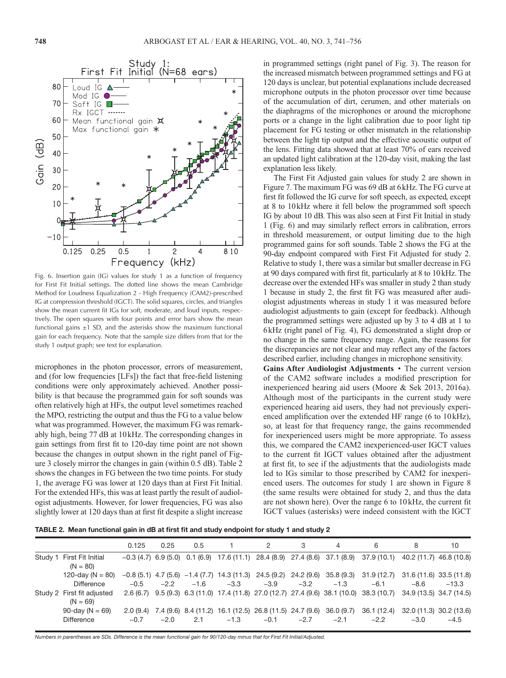

Fig. 6. Insertion gain (IG) values for study 1 as a function of frequency for First Fit Initial settings. The dotted line shows the mean Cambridge Method for Loudness Equalization 2 - High Frequency (CAM2)-prescribed IG at compression threshold (IGCT). The solid squares, circles, and triangles show the mean current fit IGs for soft, moderate, and loud inputs, respectively. The open squares with four points and error bars show the mean functional gains  $\pm 1$  SD, and the asterisks show the maximum functional gain for each frequency. Note that the sample size differs from that for the study 1 output graph; see text for explanation.

microphones in the photon processor, errors of measurement, and (for low frequencies [LFs]) the fact that free-field listening conditions were only approximately achieved. Another possibility is that because the programmed gain for soft sounds was often relatively high at HFs, the output level sometimes reached the MPO, restricting the output and thus the FG to a value below what was programmed. However, the maximum FG was remarkably high, being 77 dB at 10kHz. The corresponding changes in gain settings from first fit to 120-day time point are not shown because the changes in output shown in the right panel of Figure 3 closely mirror the changes in gain (within 0.5 dB). Table 2 shows the changes in FG between the two time points. For study 1, the average FG was lower at 120 days than at First Fit Initial. For the extended HFs, this was at least partly the result of audiologist adjustments. However, for lower frequencies, FG was also slightly lower at 120 days than at first fit despite a slight increase

in programmed settings (right panel of Fig. 3). The reason for the increased mismatch between programmed settings and FG at 120 days is unclear, but potential explanations include decreased microphone outputs in the photon processor over time because of the accumulation of dirt, cerumen, and other materials on the diaphragms of the microphones or around the microphone ports or a change in the light calibration due to poor light tip placement for FG testing or other mismatch in the relationship between the light tip output and the effective acoustic output of the lens. Fitting data showed that at least 70% of ears received an updated light calibration at the 120-day visit, making the last explanation less likely.

The First Fit Adjusted gain values for study 2 are shown in Figure 7. The maximum FG was 69 dB at 6kHz. The FG curve at first fit followed the IG curve for soft speech, as expected, except at 8 to 10kHz where it fell below the programmed soft speech IG by about 10 dB. This was also seen at First Fit Initial in study 1 (Fig. 6) and may similarly reflect errors in calibration, errors in threshold measurement, or output limiting due to the high programmed gains for soft sounds. Table 2 shows the FG at the 90-day endpoint compared with First Fit Adjusted for study 2. Relative to study 1, there was a similar but smaller decrease in FG at 90 days compared with first fit, particularly at 8 to 10kHz. The decrease over the extended HFs was smaller in study 2 than study 1 because in study 2, the first fit FG was measured after audiologist adjustments whereas in study 1 it was measured before audiologist adjustments to gain (except for feedback). Although the programmed settings were adjusted up by 3 to 4 dB at 1 to 6kHz (right panel of Fig. 4), FG demonstrated a slight drop or no change in the same frequency range. Again, the reasons for the discrepancies are not clear and may reflect any of the factors described earlier, including changes in microphone sensitivity.

**Gains After Audiologist Adjustments** • The current version of the CAM2 software includes a modified prescription for inexperienced hearing aid users (Moore & Sek 2013, 2016a). Although most of the participants in the current study were experienced hearing aid users, they had not previously experienced amplification over the extended HF range (6 to 10kHz), so, at least for that frequency range, the gains recommended for inexperienced users might be more appropriate. To assess this, we compared the CAM2 inexperienced-user IGCT values to the current fit IGCT values obtained after the adjustment at first fit, to see if the adjustments that the audiologists made led to IGs similar to those prescribed by CAM2 for inexperienced users. The outcomes for study 1 are shown in Figure 8 (the same results were obtained for study 2, and thus the data are not shown here). Over the range 6 to 10kHz, the current fit IGCT values (asterisks) were indeed consistent with the IGCT

**TABLE 2. Mean functional gain in dB at first fit and study endpoint for study 1 and study 2**

|         |                                           | 0.125  | 0.25   | 0.5    |        | 2                                                                            |                      | 4                    | 6                                                                                                                 | 8                                 | 10      |
|---------|-------------------------------------------|--------|--------|--------|--------|------------------------------------------------------------------------------|----------------------|----------------------|-------------------------------------------------------------------------------------------------------------------|-----------------------------------|---------|
| Study 1 | First Fit Initial<br>$(N = 80)$           |        |        |        |        | $-0.3(4.7)$ 6.9 (5.0) 0.1 (6.9) 17.6 (11.1) 28.4 (8.9) 27.4 (8.6) 37.1 (8.9) |                      |                      | 37.9 (10.1)                                                                                                       | 40.2 (11.7) 46.8 (10.8)           |         |
|         | 120-day ( $N = 80$ )<br><b>Difference</b> | $-0.5$ | $-2.2$ | $-1.6$ | $-3.3$ | $-0.8(5.1)$ 4.7 (5.6) $-1.4(7.7)$ 14.3 (11.3) 24.5 (9.2)<br>$-3.9$           | 24.2 (9.6)<br>$-3.2$ | 35.8 (9.3)<br>$-1.3$ | 31.9 (12.7)<br>$-6.1$                                                                                             | 31.6 (11.6) 33.5 (11.8)<br>$-8.6$ | $-13.3$ |
|         | Study 2 First fit adjusted<br>$(N = 69)$  |        |        |        |        |                                                                              |                      |                      | 2.6 (6.7) 9.5 (9.3) 6.3 (11.0) 17.4 (11.8) 27.0 (12.7) 27.4 (9.6) 38.1 (10.0) 38.3 (10.7) 34.9 (13.5) 34.7 (14.5) |                                   |         |
|         | 90-day ( $N = 69$ )<br><b>Difference</b>  | $-0.7$ | $-2.0$ | 2.1    | $-1.3$ | $2.0(9.4)$ 7.4 (9.6) 8.4 (11.2) 16.1 (12.5) 26.8 (11.5) 24.7 (9.6)<br>$-0.1$ | $-2.7$               | 36.0(9.7)<br>$-2.1$  | 36.1 (12.4)<br>$-2.2$                                                                                             | 32.0 (11.3) 30.2 (13.6)<br>$-3.0$ | $-4.5$  |

*Numbers in parentheses are SDs. Difference is the mean functional gain for 90/120-day minus that for First Fit Initial/Adjusted.*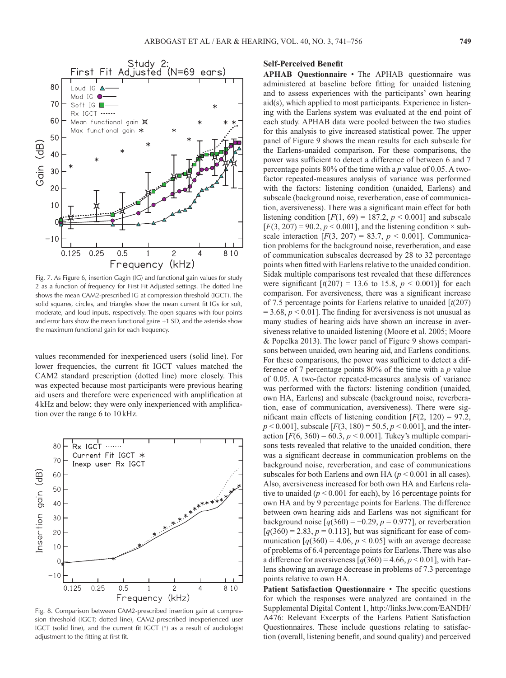

Fig. 7. As Figure 6, insertion Gagin (IG) and functional gain values for study 2 as a function of frequency for First Fit Adjusted settings. The dotted line shows the mean CAM2-prescribed IG at compression threshold (IGCT). The solid squares, circles, and triangles show the mean current fit IGs for soft, moderate, and loud inputs, respectively. The open squares with four points and error bars show the mean functional gains  $\pm 1$  SD, and the asterisks show the maximum functional gain for each frequency.

values recommended for inexperienced users (solid line). For lower frequencies, the current fit IGCT values matched the CAM2 standard prescription (dotted line) more closely. This was expected because most participants were previous hearing aid users and therefore were experienced with amplification at 4kHz and below; they were only inexperienced with amplification over the range 6 to 10kHz.



Fig. 8. Comparison between CAM2-prescribed insertion gain at compression threshold (IGCT; dotted line), CAM2-prescribed inexperienced user IGCT (solid line), and the current fit IGCT (\*) as a result of audiologist adjustment to the fitting at first fit.

# **Self-Perceived Benefit**

**APHAB Questionnaire** • The APHAB questionnaire was administered at baseline before fitting for unaided listening and to assess experiences with the participants' own hearing aid(s), which applied to most participants. Experience in listening with the Earlens system was evaluated at the end point of each study. APHAB data were pooled between the two studies for this analysis to give increased statistical power. The upper panel of Figure 9 shows the mean results for each subscale for the Earlens-unaided comparison. For these comparisons, the power was sufficient to detect a difference of between 6 and 7 percentage points 80% of the time with a *p* value of 0.05. A twofactor repeated-measures analysis of variance was performed with the factors: listening condition (unaided, Earlens) and subscale (background noise, reverberation, ease of communication, aversiveness). There was a significant main effect for both listening condition  $[F(1, 69) = 187.2, p < 0.001]$  and subscale  $[F(3, 207) = 90.2, p < 0.001]$ , and the listening condition  $\times$  subscale interaction  $[F(3, 207) = 83.7, p < 0.001]$ . Communication problems for the background noise, reverberation, and ease of communication subscales decreased by 28 to 32 percentage points when fitted with Earlens relative to the unaided condition. Sidak multiple comparisons test revealed that these differences were significant  $[t(207) = 13.6 \text{ to } 15.8, p < 0.001]$  for each comparison. For aversiveness, there was a significant increase of 7.5 percentage points for Earlens relative to unaided [*t*(207)  $= 3.68, p < 0.01$ ]. The finding for aversiveness is not unusual as many studies of hearing aids have shown an increase in aversiveness relative to unaided listening (Moore et al. 2005; Moore & Popelka 2013). The lower panel of Figure 9 shows comparisons between unaided, own hearing aid, and Earlens conditions. For these comparisons, the power was sufficient to detect a difference of 7 percentage points 80% of the time with a *p* value of 0.05. A two-factor repeated-measures analysis of variance was performed with the factors: listening condition (unaided, own HA, Earlens) and subscale (background noise, reverberation, ease of communication, aversiveness). There were significant main effects of listening condition  $[F(2, 120) = 97.2]$ ,  $p < 0.001$ ], subscale  $[F(3, 180) = 50.5, p < 0.001]$ , and the interaction  $[F(6, 360) = 60.3, p < 0.001]$ . Tukey's multiple comparisons tests revealed that relative to the unaided condition, there was a significant decrease in communication problems on the background noise, reverberation, and ease of communications subscales for both Earlens and own HA ( $p < 0.001$  in all cases). Also, aversiveness increased for both own HA and Earlens relative to unaided  $(p < 0.001$  for each), by 16 percentage points for own HA and by 9 percentage points for Earlens. The difference between own hearing aids and Earlens was not significant for background noise  $[q(360) = -0.29, p = 0.977]$ , or reverberation  $[q(360) = 2.83, p = 0.113]$ , but was significant for ease of communication  $[q(360) = 4.06, p < 0.05]$  with an average decrease of problems of 6.4 percentage points for Earlens. There was also a difference for aversiveness  $[q(360) = 4.66, p < 0.01]$ , with Earlens showing an average decrease in problems of 7.3 percentage points relative to own HA.

Patient Satisfaction Questionnaire • The specific questions for which the responses were analyzed are contained in the Supplemental Digital Content 1, [http://links.lww.com/EANDH/](http://links.lww.com/EANDH/A476) [A476:](http://links.lww.com/EANDH/A476) Relevant Excerpts of the Earlens Patient Satisfaction Questionnaires. These include questions relating to satisfaction (overall, listening benefit, and sound quality) and perceived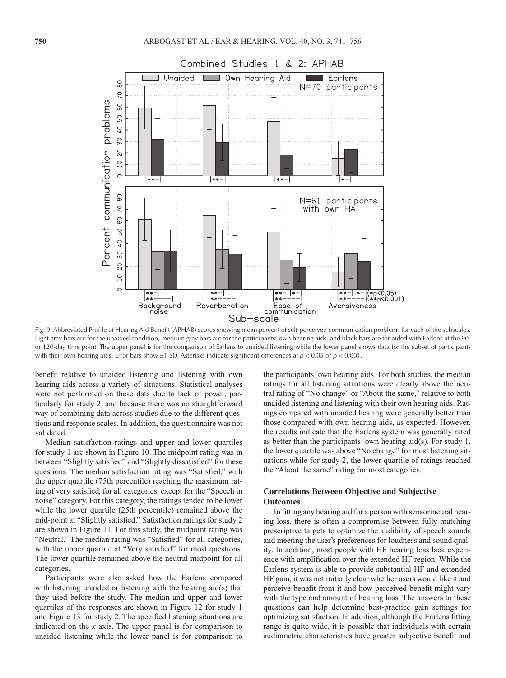

Fig. 9. Abbreviated Profile of Hearing Aid Benefit (APHAB) scores showing mean percent of self-perceived communication problems for each of the subscales. Light gray bars are for the unaided condition, medium gray bars are for the participants' own hearing aids, and black bars are for aided with Earlens at the 90 or 120-day time point. The upper panel is for the comparison of Earlens to unaided listening while the lower panel shows data for the subset of participants with their own hearing aids. Error bars show ±1 SD. Asterisks indicate significant differences at *p* < 0.05 or *p* < 0.001.

benefit relative to unaided listening and listening with own hearing aids across a variety of situations. Statistical analyses were not performed on these data due to lack of power, particularly for study 2, and because there was no straightforward way of combining data across studies due to the different questions and response scales. In addition, the questionnaire was not validated.

Median satisfaction ratings and upper and lower quartiles for study 1 are shown in Figure 10. The midpoint rating was in between "Slightly satisfied" and "Slightly dissatisfied" for these questions. The median satisfaction rating was "Satisfied," with the upper quartile (75th percentile) reaching the maximum rating of very satisfied, for all categories, except for the "Speech in noise" category. For this category, the ratings tended to be lower while the lower quartile (25th percentile) remained above the mid-point at "Slightly satisfied." Satisfaction ratings for study 2 are shown in Figure 11. For this study, the midpoint rating was "Neutral." The median rating was "Satisfied" for all categories, with the upper quartile at "Very satisfied" for most questions. The lower quartile remained above the neutral midpoint for all categories.

Participants were also asked how the Earlens compared with listening unaided or listening with the hearing aid(s) that they used before the study. The median and upper and lower quartiles of the responses are shown in Figure 12 for study 1 and Figure 13 for study 2. The specified listening situations are indicated on the *x* axis. The upper panel is for comparison to unaided listening while the lower panel is for comparison to

the participants' own hearing aids. For both studies, the median ratings for all listening situations were clearly above the neutral rating of "No change" or "About the same," relative to both unaided listening and listening with their own hearing aids. Ratings compared with unaided hearing were generally better than those compared with own hearing aids, as expected. However, the results indicate that the Earlens system was generally rated as better than the participants' own hearing aid(s). For study 1, the lower quartile was above "No change" for most listening situations while for study 2, the lower quartile of ratings reached the "About the same" rating for most categories.

# **Correlations Between Objective and Subjective Outcomes**

In fitting any hearing aid for a person with sensorineural hearing loss, there is often a compromise between fully matching prescriptive targets to optimize the audibility of speech sounds and meeting the user's preferences for loudness and sound quality. In addition, most people with HF hearing loss lack experience with amplification over the extended HF region. While the Earlens system is able to provide substantial HF and extended HF gain, it was not initially clear whether users would like it and perceive benefit from it and how perceived benefit might vary with the type and amount of hearing loss. The answers to these questions can help determine best-practice gain settings for optimizing satisfaction. In addition, although the Earlens fitting range is quite wide, it is possible that individuals with certain audiometric characteristics have greater subjective benefit and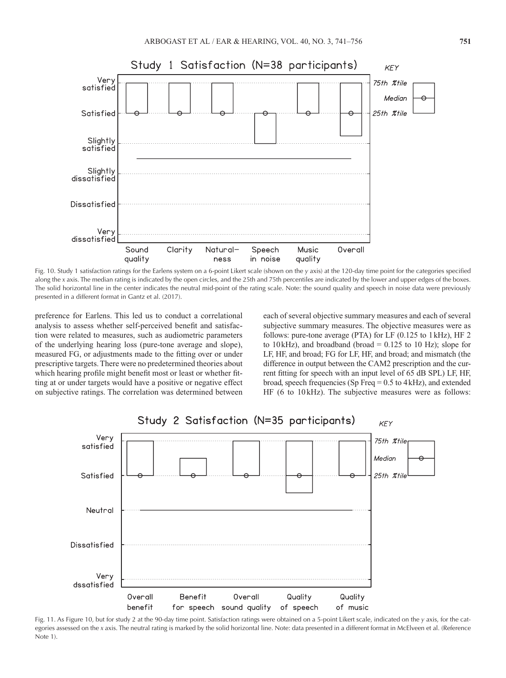

Fig. 10. Study 1 satisfaction ratings for the Earlens system on a 6-point Likert scale (shown on the *y* axis) at the 120-day time point for the categories specified along the *x* axis. The median rating is indicated by the open circles, and the 25th and 75th percentiles are indicated by the lower and upper edges of the boxes. The solid horizontal line in the center indicates the neutral mid-point of the rating scale. Note: the sound quality and speech in noise data were previously presented in a different format in Gantz et al. (2017).

preference for Earlens. This led us to conduct a correlational analysis to assess whether self-perceived benefit and satisfaction were related to measures, such as audiometric parameters of the underlying hearing loss (pure-tone average and slope), measured FG, or adjustments made to the fitting over or under prescriptive targets. There were no predetermined theories about which hearing profile might benefit most or least or whether fitting at or under targets would have a positive or negative effect on subjective ratings. The correlation was determined between

each of several objective summary measures and each of several subjective summary measures. The objective measures were as follows: pure-tone average (PTA) for LF (0.125 to 1kHz), HF 2 to 10 kHz), and broadband (broad  $= 0.125$  to 10 Hz); slope for LF, HF, and broad; FG for LF, HF, and broad; and mismatch (the difference in output between the CAM2 prescription and the current fitting for speech with an input level of 65 dB SPL) LF, HF, broad, speech frequencies (Sp Freq = 0.5 to 4kHz), and extended HF (6 to 10 kHz). The subjective measures were as follows:



Fig. 11. As Figure 10, but for study 2 at the 90-day time point. Satisfaction ratings were obtained on a 5-point Likert scale, indicated on the *y* axis, for the categories assessed on the *x* axis. The neutral rating is marked by the solid horizontal line. Note: data presented in a different format in McElveen et al. (Reference Note 1).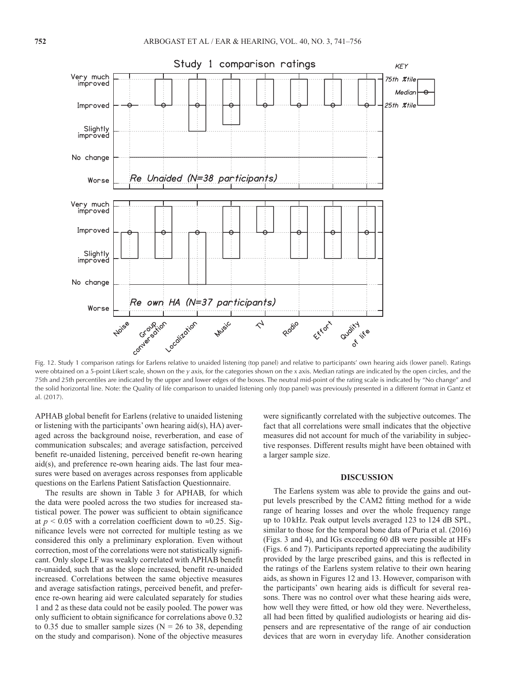

Fig. 12. Study 1 comparison ratings for Earlens relative to unaided listening (top panel) and relative to participants' own hearing aids (lower panel). Ratings were obtained on a 5-point Likert scale, shown on the *y* axis, for the categories shown on the *x* axis. Median ratings are indicated by the open circles, and the 75th and 25th percentiles are indicated by the upper and lower edges of the boxes. The neutral mid-point of the rating scale is indicated by "No change" and the solid horizontal line. Note: the Quality of life comparison to unaided listening only (top panel) was previously presented in a different format in Gantz et al. (2017).

APHAB global benefit for Earlens (relative to unaided listening or listening with the participants' own hearing aid(s), HA) averaged across the background noise, reverberation, and ease of communication subscales; and average satisfaction, perceived benefit re-unaided listening, perceived benefit re-own hearing aid(s), and preference re-own hearing aids. The last four measures were based on averages across responses from applicable questions on the Earlens Patient Satisfaction Questionnaire.

The results are shown in Table 3 for APHAB, for which the data were pooled across the two studies for increased statistical power. The power was sufficient to obtain significance at  $p < 0.05$  with a correlation coefficient down to ≈0.25. Significance levels were not corrected for multiple testing as we considered this only a preliminary exploration. Even without correction, most of the correlations were not statistically significant. Only slope LF was weakly correlated with APHAB benefit re-unaided, such that as the slope increased, benefit re-unaided increased. Correlations between the same objective measures and average satisfaction ratings, perceived benefit, and preference re-own hearing aid were calculated separately for studies 1 and 2 as these data could not be easily pooled. The power was only sufficient to obtain significance for correlations above 0.32 to 0.35 due to smaller sample sizes ( $N = 26$  to 38, depending on the study and comparison). None of the objective measures were significantly correlated with the subjective outcomes. The fact that all correlations were small indicates that the objective measures did not account for much of the variability in subjective responses. Different results might have been obtained with a larger sample size.

# **DISCUSSION**

The Earlens system was able to provide the gains and output levels prescribed by the CAM2 fitting method for a wide range of hearing losses and over the whole frequency range up to 10kHz. Peak output levels averaged 123 to 124 dB SPL, similar to those for the temporal bone data of Puria et al. (2016) (Figs. 3 and 4), and IGs exceeding 60 dB were possible at HFs (Figs. 6 and 7). Participants reported appreciating the audibility provided by the large prescribed gains, and this is reflected in the ratings of the Earlens system relative to their own hearing aids, as shown in Figures 12 and 13. However, comparison with the participants' own hearing aids is difficult for several reasons. There was no control over what these hearing aids were, how well they were fitted, or how old they were. Nevertheless, all had been fitted by qualified audiologists or hearing aid dispensers and are representative of the range of air conduction devices that are worn in everyday life. Another consideration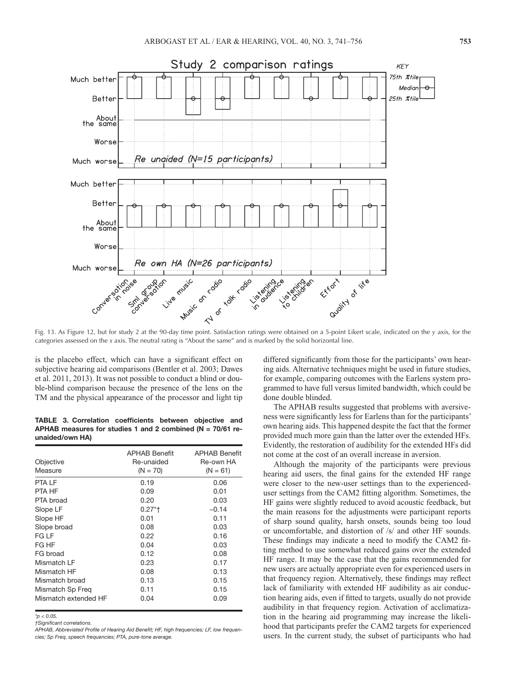

Fig. 13. As Figure 12, but for study 2 at the 90-day time point. Satisfaction ratings were obtained on a 5-point Likert scale, indicated on the *y* axis, for the categories assessed on the *x* axis. The neutral rating is "About the same" and is marked by the solid horizontal line.

is the placebo effect, which can have a significant effect on subjective hearing aid comparisons (Bentler et al. 2003; Dawes et al. 2011, 2013). It was not possible to conduct a blind or double-blind comparison because the presence of the lens on the TM and the physical appearance of the processor and light tip

**TABLE 3. Correlation coefficients between objective and APHAB measures for studies 1 and 2 combined (N = 70/61 reunaided/own HA)**

| Objective<br>Measure | <b>APHAB Benefit</b><br>Re-unaided<br>$(N = 70)$ | <b>APHAB Benefit</b><br>Re-own HA<br>$(N = 61)$ |
|----------------------|--------------------------------------------------|-------------------------------------------------|
| <b>PTA LF</b>        | 0.19                                             | 0.06                                            |
| PTA HF               | 0.09                                             | 0.01                                            |
| PTA broad            | 0.20                                             | 0.03                                            |
| Slope LF             | $0.27*$ †                                        | $-0.14$                                         |
| Slope HF             | 0.01                                             | 0.11                                            |
| Slope broad          | 0.08                                             | 0.03                                            |
| FG LF                | 0.22                                             | 0.16                                            |
| FG HF                | 0.04                                             | 0.03                                            |
| FG broad             | 0.12                                             | 0.08                                            |
| Mismatch LF          | 0.23                                             | 0.17                                            |
| Mismatch HF          | 0.08                                             | 0.13                                            |
| Mismatch broad       | 0.13                                             | 0.15                                            |
| Mismatch Sp Freg     | 0.11                                             | 0.15                                            |
| Mismatch extended HF | 0.04                                             | 0.09                                            |

*\*p < 0.05.*

*†Significant correlations.*

differed significantly from those for the participants' own hearing aids. Alternative techniques might be used in future studies, for example, comparing outcomes with the Earlens system programmed to have full versus limited bandwidth, which could be done double blinded.

The APHAB results suggested that problems with aversiveness were significantly less for Earlens than for the participants' own hearing aids. This happened despite the fact that the former provided much more gain than the latter over the extended HFs. Evidently, the restoration of audibility for the extended HFs did not come at the cost of an overall increase in aversion.

Although the majority of the participants were previous hearing aid users, the final gains for the extended HF range were closer to the new-user settings than to the experienceduser settings from the CAM2 fitting algorithm. Sometimes, the HF gains were slightly reduced to avoid acoustic feedback, but the main reasons for the adjustments were participant reports of sharp sound quality, harsh onsets, sounds being too loud or uncomfortable, and distortion of /s/ and other HF sounds. These findings may indicate a need to modify the CAM2 fitting method to use somewhat reduced gains over the extended HF range. It may be the case that the gains recommended for new users are actually appropriate even for experienced users in that frequency region. Alternatively, these findings may reflect lack of familiarity with extended HF audibility as air conduction hearing aids, even if fitted to targets, usually do not provide audibility in that frequency region. Activation of acclimatization in the hearing aid programming may increase the likelihood that participants prefer the CAM2 targets for experienced users. In the current study, the subset of participants who had

*APHAB, Abbreviated Profile of Hearing Aid Benefit; HF, high frequencies; LF, low frequencies; Sp Freq, speech frequencies; PTA, pure-tone average.*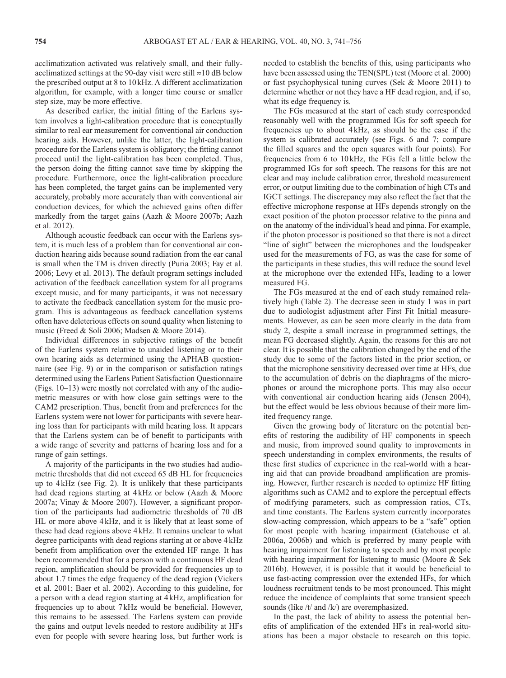acclimatization activated was relatively small, and their fullyacclimatized settings at the 90-day visit were still ≈10 dB below the prescribed output at 8 to 10kHz. A different acclimatization algorithm, for example, with a longer time course or smaller step size, may be more effective.

As described earlier, the initial fitting of the Earlens system involves a light-calibration procedure that is conceptually similar to real ear measurement for conventional air conduction hearing aids. However, unlike the latter, the light-calibration procedure for the Earlens system is obligatory; the fitting cannot proceed until the light-calibration has been completed. Thus, the person doing the fitting cannot save time by skipping the procedure. Furthermore, once the light-calibration procedure has been completed, the target gains can be implemented very accurately, probably more accurately than with conventional air conduction devices, for which the achieved gains often differ markedly from the target gains (Aazh & Moore 2007b; Aazh et al. 2012).

Although acoustic feedback can occur with the Earlens system, it is much less of a problem than for conventional air conduction hearing aids because sound radiation from the ear canal is small when the TM is driven directly (Puria 2003; Fay et al. 2006; Levy et al. 2013). The default program settings included activation of the feedback cancellation system for all programs except music, and for many participants, it was not necessary to activate the feedback cancellation system for the music program. This is advantageous as feedback cancellation systems often have deleterious effects on sound quality when listening to music (Freed & Soli 2006; Madsen & Moore 2014).

Individual differences in subjective ratings of the benefit of the Earlens system relative to unaided listening or to their own hearing aids as determined using the APHAB questionnaire (see Fig. 9) or in the comparison or satisfaction ratings determined using the Earlens Patient Satisfaction Questionnaire (Figs. 10–13) were mostly not correlated with any of the audiometric measures or with how close gain settings were to the CAM2 prescription. Thus, benefit from and preferences for the Earlens system were not lower for participants with severe hearing loss than for participants with mild hearing loss. It appears that the Earlens system can be of benefit to participants with a wide range of severity and patterns of hearing loss and for a range of gain settings.

A majority of the participants in the two studies had audiometric thresholds that did not exceed 65 dB HL for frequencies up to 4kHz (see Fig. 2). It is unlikely that these participants had dead regions starting at 4kHz or below (Aazh & Moore 2007a; Vinay & Moore 2007). However, a significant proportion of the participants had audiometric thresholds of 70 dB HL or more above 4kHz, and it is likely that at least some of these had dead regions above 4kHz. It remains unclear to what degree participants with dead regions starting at or above 4 kHz benefit from amplification over the extended HF range. It has been recommended that for a person with a continuous HF dead region, amplification should be provided for frequencies up to about 1.7 times the edge frequency of the dead region (Vickers et al. 2001; Baer et al. 2002). According to this guideline, for a person with a dead region starting at 4kHz, amplification for frequencies up to about 7kHz would be beneficial. However, this remains to be assessed. The Earlens system can provide the gains and output levels needed to restore audibility at HFs even for people with severe hearing loss, but further work is

needed to establish the benefits of this, using participants who have been assessed using the TEN(SPL) test (Moore et al. 2000) or fast psychophysical tuning curves (Sek & Moore 2011) to determine whether or not they have a HF dead region, and, if so, what its edge frequency is.

The FGs measured at the start of each study corresponded reasonably well with the programmed IGs for soft speech for frequencies up to about 4kHz, as should be the case if the system is calibrated accurately (see Figs. 6 and 7; compare the filled squares and the open squares with four points). For frequencies from 6 to 10kHz, the FGs fell a little below the programmed IGs for soft speech. The reasons for this are not clear and may include calibration error, threshold measurement error, or output limiting due to the combination of high CTs and IGCT settings. The discrepancy may also reflect the fact that the effective microphone response at HFs depends strongly on the exact position of the photon processor relative to the pinna and on the anatomy of the individual's head and pinna. For example, if the photon processor is positioned so that there is not a direct "line of sight" between the microphones and the loudspeaker used for the measurements of FG, as was the case for some of the participants in these studies, this will reduce the sound level at the microphone over the extended HFs, leading to a lower measured FG.

The FGs measured at the end of each study remained relatively high (Table 2). The decrease seen in study 1 was in part due to audiologist adjustment after First Fit Initial measurements. However, as can be seen more clearly in the data from study 2, despite a small increase in programmed settings, the mean FG decreased slightly. Again, the reasons for this are not clear. It is possible that the calibration changed by the end of the study due to some of the factors listed in the prior section, or that the microphone sensitivity decreased over time at HFs, due to the accumulation of debris on the diaphragms of the microphones or around the microphone ports. This may also occur with conventional air conduction hearing aids (Jensen 2004), but the effect would be less obvious because of their more limited frequency range.

Given the growing body of literature on the potential benefits of restoring the audibility of HF components in speech and music, from improved sound quality to improvements in speech understanding in complex environments, the results of these first studies of experience in the real-world with a hearing aid that can provide broadband amplification are promising. However, further research is needed to optimize HF fitting algorithms such as CAM2 and to explore the perceptual effects of modifying parameters, such as compression ratios, CTs, and time constants. The Earlens system currently incorporates slow-acting compression, which appears to be a "safe" option for most people with hearing impairment (Gatehouse et al. 2006a, 2006b) and which is preferred by many people with hearing impairment for listening to speech and by most people with hearing impairment for listening to music (Moore & Sek 2016b). However, it is possible that it would be beneficial to use fast-acting compression over the extended HFs, for which loudness recruitment tends to be most pronounced. This might reduce the incidence of complaints that some transient speech sounds (like /t/ and /k/) are overemphasized.

In the past, the lack of ability to assess the potential benefits of amplification of the extended HFs in real-world situations has been a major obstacle to research on this topic.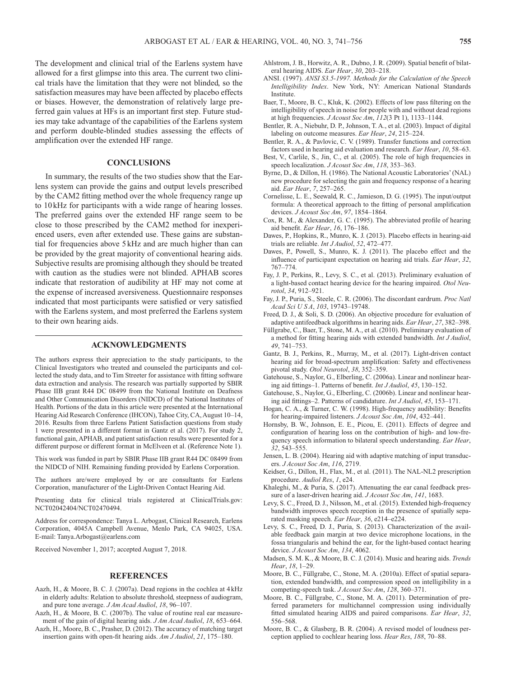The development and clinical trial of the Earlens system have allowed for a first glimpse into this area. The current two clinical trials have the limitation that they were not blinded, so the satisfaction measures may have been affected by placebo effects or biases. However, the demonstration of relatively large preferred gain values at HFs is an important first step. Future studies may take advantage of the capabilities of the Earlens system and perform double-blinded studies assessing the effects of amplification over the extended HF range.

### **CONCLUSIONS**

In summary, the results of the two studies show that the Earlens system can provide the gains and output levels prescribed by the CAM2 fitting method over the whole frequency range up to 10kHz for participants with a wide range of hearing losses. The preferred gains over the extended HF range seem to be close to those prescribed by the CAM2 method for inexperienced users, even after extended use. These gains are substantial for frequencies above 5kHz and are much higher than can be provided by the great majority of conventional hearing aids. Subjective results are promising although they should be treated with caution as the studies were not blinded. APHAB scores indicate that restoration of audibility at HF may not come at the expense of increased aversiveness. Questionnaire responses indicated that most participants were satisfied or very satisfied with the Earlens system, and most preferred the Earlens system to their own hearing aids.

#### **ACKNOWLEDGMENTS**

The authors express their appreciation to the study participants, to the Clinical Investigators who treated and counseled the participants and collected the study data, and to Tim Streeter for assistance with fitting software data extraction and analysis. The research was partially supported by SBIR Phase IIB grant R44 DC 08499 from the National Institute on Deafness and Other Communication Disorders (NIDCD) of the National Institutes of Health. Portions of the data in this article were presented at the International Hearing Aid Research Conference (IHCON), Tahoe City, CA, August 10–14, 2016. Results from three Earlens Patient Satisfaction questions from study 1 were presented in a different format in Gantz et al. (2017). For study 2, functional gain, APHAB, and patient satisfaction results were presented for a different purpose or different format in McElveen et al. (Reference Note 1).

This work was funded in part by SBIR Phase IIB grant R44 DC 08499 from the NIDCD of NIH. Remaining funding provided by Earlens Corporation.

The authors are/were employed by or are consultants for Earlens Corporation, manufacturer of the Light-Driven Contact Hearing Aid.

Presenting data for clinical trials registered at ClinicalTrials.gov: NCT02042404/NCT02470494.

Address for correspondence: Tanya L. Arbogast, Clinical Research, Earlens Corporation, 4045A Campbell Avenue, Menlo Park, CA 94025, USA. E-mail: [Tanya.Arbogast@earlens.com](mailto:Tanya.Arbogast@earlens.com)

Received November 1, 2017; accepted August 7, 2018.

#### **REFERENCES**

- Aazh, H., & Moore, B. C. J. (2007a). Dead regions in the cochlea at 4kHz in elderly adults: Relation to absolute threshold, steepness of audiogram, and pure tone average. *J Am Acad Audiol*, *18*, 96–107.
- Aazh, H., & Moore, B. C. (2007b). The value of routine real ear measurement of the gain of digital hearing aids. *J Am Acad Audiol*, *18*, 653–664.
- Aazh, H., Moore, B. C., Prasher, D. (2012). The accuracy of matching target insertion gains with open-fit hearing aids. *Am J Audiol*, *21*, 175–180.
- Ahlstrom, J. B., Horwitz, A. R., Dubno, J. R. (2009). Spatial benefit of bilateral hearing AIDS. *Ear Hear*, *30*, 203–218.
- ANSI. (1997). *ANSI S3.5-1997. Methods for the Calculation of the Speech Intelligibility Index*. New York, NY: American National Standards Institute.
- Baer, T., Moore, B. C., Kluk, K. (2002). Effects of low pass filtering on the intelligibility of speech in noise for people with and without dead regions at high frequencies. *J Acoust Soc Am*, *112*(3 Pt 1), 1133–1144.
- Bentler, R. A., Niebuhr, D. P., Johnson, T. A., et al. (2003). Impact of digital labeling on outcome measures. *Ear Hear*, *24*, 215–224.
- Bentler, R. A., & Pavlovic, C. V. (1989). Transfer functions and correction factors used in hearing aid evaluation and research. *Ear Hear*, *10*, 58–63.
- Best, V., Carlile, S., Jin, C., et al. (2005). The role of high frequencies in speech localization. *J Acoust Soc Am*, *118*, 353–363.
- Byrne, D., & Dillon, H. (1986). The National Acoustic Laboratories' (NAL) new procedure for selecting the gain and frequency response of a hearing aid. *Ear Hear*, *7*, 257–265.
- Cornelisse, L. E., Seewald, R. C., Jamieson, D. G. (1995). The input/output formula: A theoretical approach to the fitting of personal amplification devices. *J Acoust Soc Am*, *97*, 1854–1864.
- Cox, R. M., & Alexander, G. C. (1995). The abbreviated profile of hearing aid benefit. *Ear Hear*, *16*, 176–186.
- Dawes, P., Hopkins, R., Munro, K. J. (2013). Placebo effects in hearing-aid trials are reliable. *Int J Audiol*, *52*, 472–477.
- Dawes, P., Powell, S., Munro, K. J. (2011). The placebo effect and the influence of participant expectation on hearing aid trials. *Ear Hear*, *32*, 767–774.
- Fay, J. P., Perkins, R., Levy, S. C., et al. (2013). Preliminary evaluation of a light-based contact hearing device for the hearing impaired. *Otol Neurotol*, *34*, 912–921.
- Fay, J. P., Puria, S., Steele, C. R. (2006). The discordant eardrum. *Proc Natl Acad Sci U S A*, *103*, 19743–19748.
- Freed, D. J., & Soli, S. D. (2006). An objective procedure for evaluation of adaptive antifeedback algorithms in hearing aids. *Ear Hear*, *27*, 382–398.
- Füllgrabe, C., Baer, T., Stone, M. A., et al. (2010). Preliminary evaluation of a method for fitting hearing aids with extended bandwidth. *Int J Audiol*, *49*, 741–753.
- Gantz, B. J., Perkins, R., Murray, M., et al. (2017). Light-driven contact hearing aid for broad-spectrum amplification: Safety and effectiveness pivotal study. *Otol Neurotol*, *38*, 352–359.
- Gatehouse, S., Naylor, G., Elberling, C. (2006a). Linear and nonlinear hearing aid fittings–1. Patterns of benefit. *Int J Audiol*, *45*, 130–152.
- Gatehouse, S., Naylor, G., Elberling, C. (2006b). Linear and nonlinear hearing aid fittings–2. Patterns of candidature. *Int J Audiol*, *45*, 153–171.
- Hogan, C. A., & Turner, C. W. (1998). High-frequency audibility: Benefits for hearing-impaired listeners. *J Acoust Soc Am*, *104*, 432–441.
- Hornsby, B. W., Johnson, E. E., Picou, E. (2011). Effects of degree and configuration of hearing loss on the contribution of high- and low-frequency speech information to bilateral speech understanding. *Ear Hear*, *32*, 543–555.
- Jensen, L. B. (2004). Hearing aid with adaptive matching of input transducers. *J Acoust Soc Am*, *116*, 2719.
- Keidser, G., Dillon, H., Flax, M., et al. (2011). The NAL-NL2 prescription procedure. *Audiol Res*, *1*, e24.
- Khaleghi, M., & Puria, S. (2017). Attenuating the ear canal feedback pressure of a laser-driven hearing aid. *J Acoust Soc Am*, *141*, 1683.
- Levy, S. C., Freed, D. J., Nilsson, M., et al. (2015). Extended high-frequency bandwidth improves speech reception in the presence of spatially separated masking speech. *Ear Hear*, *36*, e214–e224.
- Levy, S. C., Freed, D. J., Puria, S. (2013). Characterization of the available feedback gain margin at two device microphone locations, in the fossa triangularis and behind the ear, for the light-based contact hearing device. *J Acoust Soc Am*, *134*, 4062.
- Madsen, S. M. K., & Moore, B. C. J. (2014). Music and hearing aids. *Trends Hear*, *18*, 1–29.
- Moore, B. C., Füllgrabe, C., Stone, M. A. (2010a). Effect of spatial separation, extended bandwidth, and compression speed on intelligibility in a competing-speech task. *J Acoust Soc Am*, *128*, 360–371.
- Moore, B. C., Füllgrabe, C., Stone, M. A. (2011). Determination of preferred parameters for multichannel compression using individually fitted simulated hearing AIDS and paired comparisons. *Ear Hear*, *32*, 556–568.
- Moore, B. C., & Glasberg, B. R. (2004). A revised model of loudness perception applied to cochlear hearing loss. *Hear Res*, *188*, 70–88.